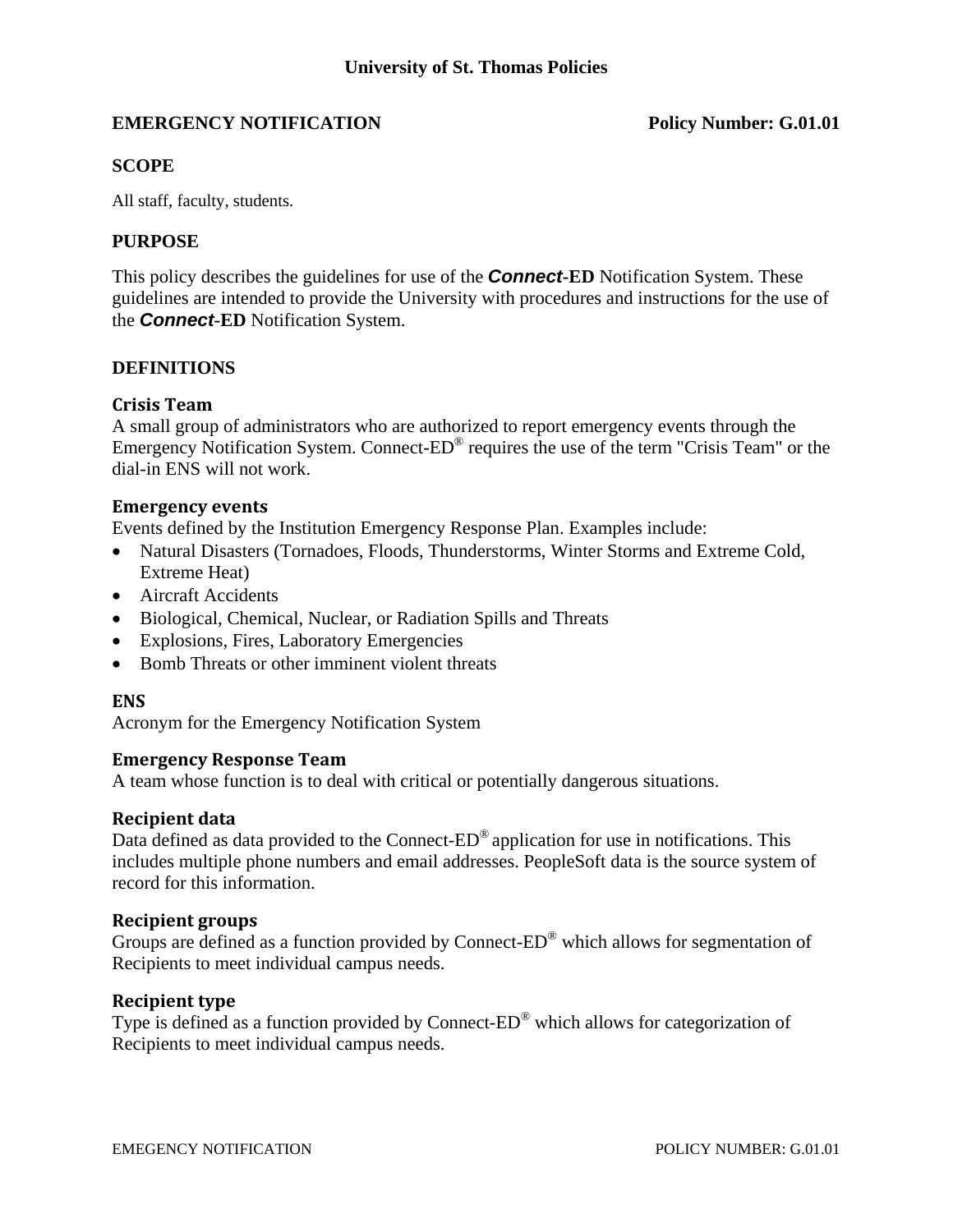# **EMERGENCY NOTIFICATION Policy Number: G.01.01**

#### **SCOPE**

All staff, faculty, students.

#### **PURPOSE**

This policy describes the guidelines for use of the *Connect***-ED** Notification System. These guidelines are intended to provide the University with procedures and instructions for the use of the *Connect***-ED** Notification System.

#### **DEFINITIONS**

### **Crisis Team**

A small group of administrators who are authorized to report emergency events through the Emergency Notification System. Connect-ED® requires the use of the term "Crisis Team" or the dial-in ENS will not work.

#### **Emergency** events

Events defined by the Institution Emergency Response Plan. Examples include:

- Natural Disasters (Tornadoes, Floods, Thunderstorms, Winter Storms and Extreme Cold, Extreme Heat)
- Aircraft Accidents
- Biological, Chemical, Nuclear, or Radiation Spills and Threats
- Explosions, Fires, Laboratory Emergencies
- Bomb Threats or other imminent violent threats

#### **ENS**

Acronym for the Emergency Notification System

#### **Emergency Response Team**

A team whose function is to deal with critical or potentially dangerous situations.

#### **Recipient data**

Data defined as data provided to the Connect-ED® application for use in notifications. This includes multiple phone numbers and email addresses. PeopleSoft data is the source system of record for this information.

#### **Recipient groups**

Groups are defined as a function provided by Connect-ED® which allows for segmentation of Recipients to meet individual campus needs.

#### **Recipient type**

Type is defined as a function provided by Connect-ED® which allows for categorization of Recipients to meet individual campus needs.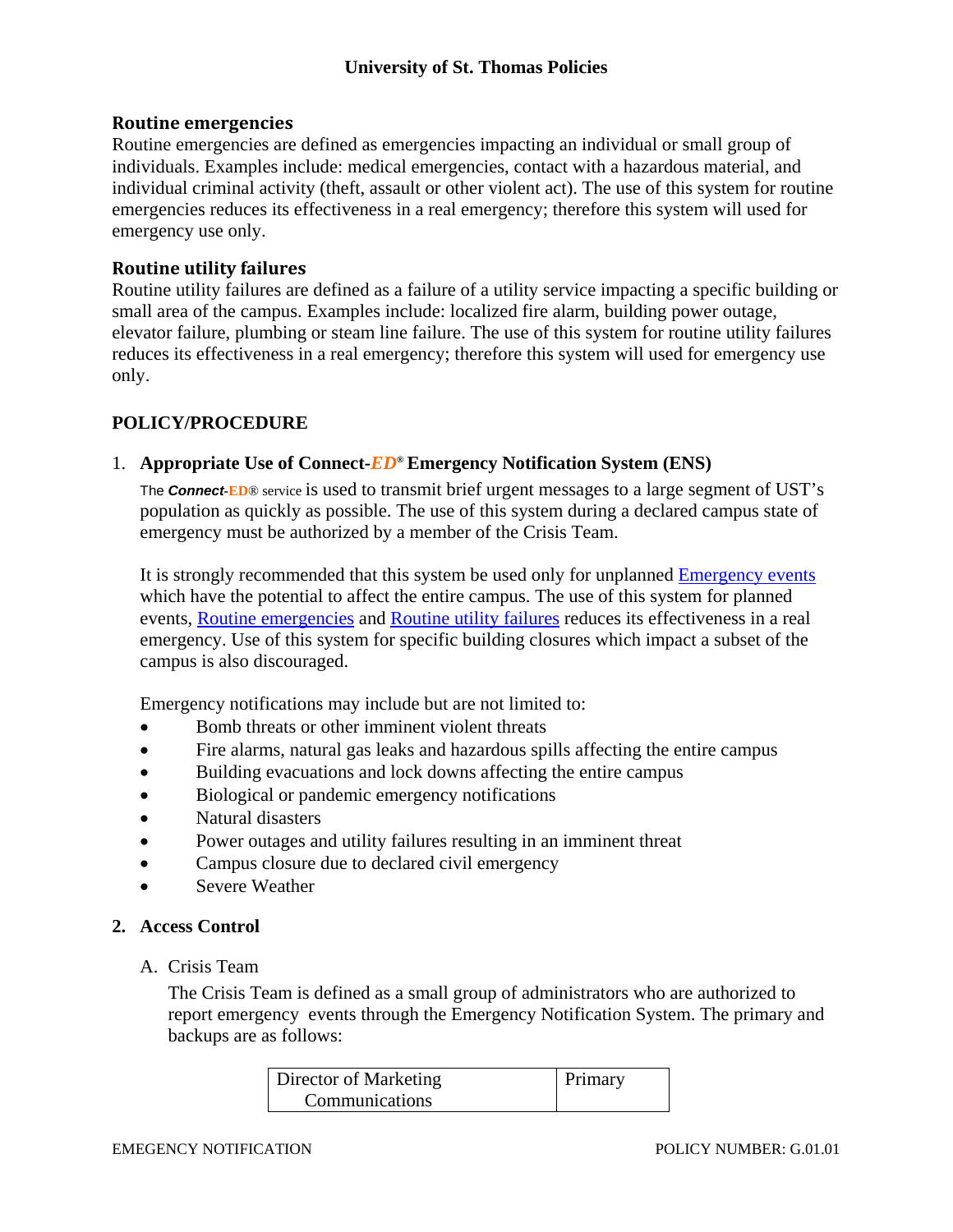## **Routine emergencies**

Routine emergencies are defined as emergencies impacting an individual or small group of individuals. Examples include: medical emergencies, contact with a hazardous material, and individual criminal activity (theft, assault or other violent act). The use of this system for routine emergencies reduces its effectiveness in a real emergency; therefore this system will used for emergency use only.

## **Routine utility failures**

Routine utility failures are defined as a failure of a utility service impacting a specific building or small area of the campus. Examples include: localized fire alarm, building power outage, elevator failure, plumbing or steam line failure. The use of this system for routine utility failures reduces its effectiveness in a real emergency; therefore this system will used for emergency use only.

# **POLICY/PROCEDURE**

## 1. **Appropriate Use of Connect***-ED***® Emergency Notification System (ENS)**

 The *Connect-***ED**® service is used to transmit brief urgent messages to a large segment of UST's population as quickly as possible. The use of this system during a declared campus state of emergency must be authorized by a member of the Crisis Team.

 It is strongly recommended that this system be used only for unplanned Emergency events which have the potential to affect the entire campus. The use of this system for planned events, Routine emergencies and Routine utility failures reduces its effectiveness in a real emergency. Use of this system for specific building closures which impact a subset of the campus is also discouraged.

Emergency notifications may include but are not limited to:

- Bomb threats or other imminent violent threats
- Fire alarms, natural gas leaks and hazardous spills affecting the entire campus
- Building evacuations and lock downs affecting the entire campus
- Biological or pandemic emergency notifications
- Natural disasters
- Power outages and utility failures resulting in an imminent threat
- Campus closure due to declared civil emergency
- Severe Weather

# **2. Access Control**

# A. Crisis Team

 The Crisis Team is defined as a small group of administrators who are authorized to report emergency events through the Emergency Notification System. The primary and backups are as follows:

| Director of Marketing | Primary |
|-----------------------|---------|
| Communications        |         |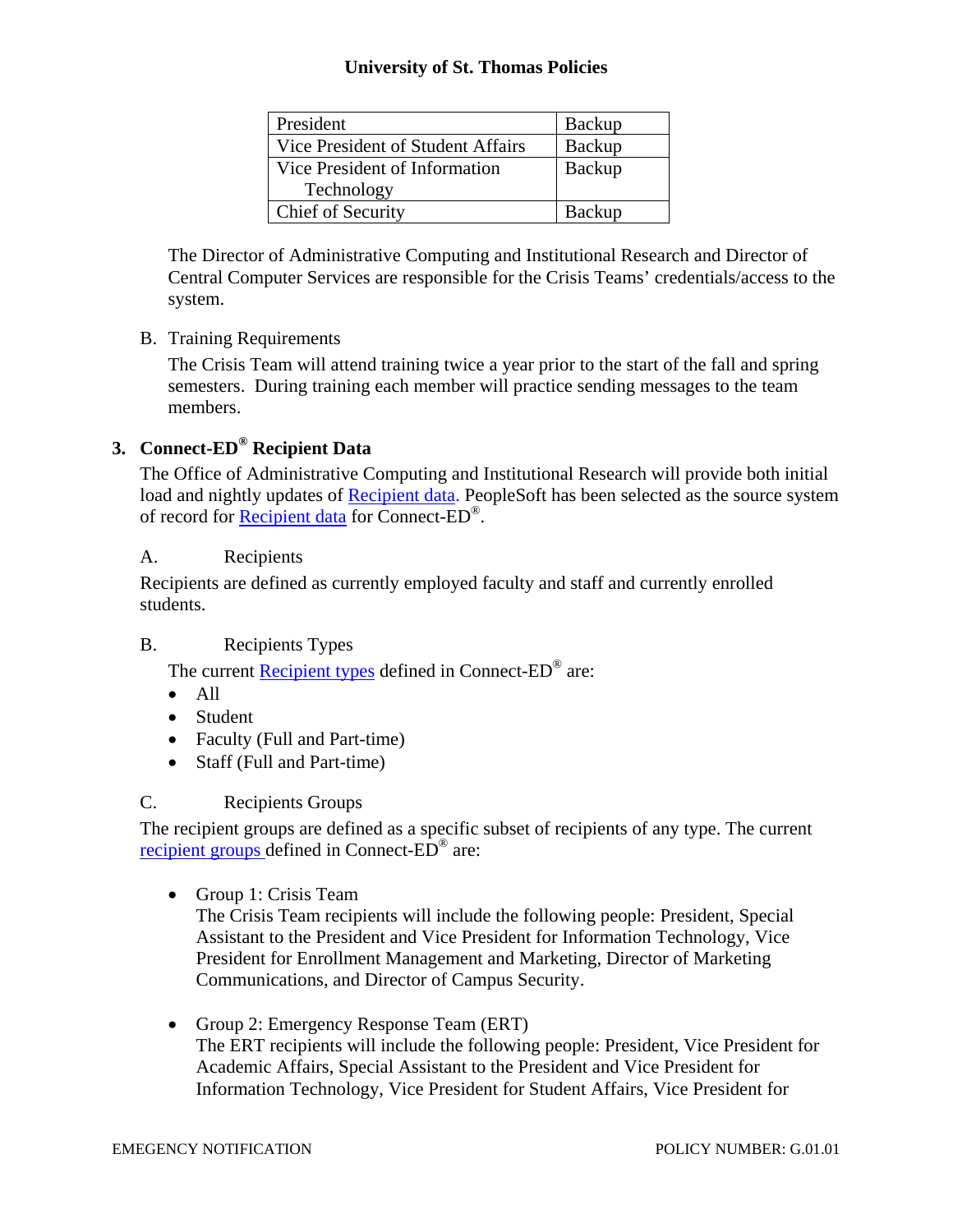# **University of St. Thomas Policies**

| President                         | Backup |
|-----------------------------------|--------|
| Vice President of Student Affairs | Backup |
| Vice President of Information     | Backup |
| Technology                        |        |
| Chief of Security                 | Backup |

 The Director of Administrative Computing and Institutional Research and Director of Central Computer Services are responsible for the Crisis Teams' credentials/access to the system.

# B. Training Requirements

 The Crisis Team will attend training twice a year prior to the start of the fall and spring semesters. During training each member will practice sending messages to the team members.

# **3. Connect-ED® Recipient Data**

 The Office of Administrative Computing and Institutional Research will provide both initial load and nightly updates of Recipient data. PeopleSoft has been selected as the source system of record for Recipient data for Connect-ED<sup>®</sup>.

# A. Recipients

 Recipients are defined as currently employed faculty and staff and currently enrolled students.

# B. Recipients Types

The current Recipient types defined in Connect-ED<sup>®</sup> are:

- $\bullet$  All
- Student
- Faculty (Full and Part-time)
- Staff (Full and Part-time)

# C. Recipients Groups

 The recipient groups are defined as a specific subset of recipients of any type. The current recipient groups defined in Connect-ED® are:

• Group 1: Crisis Team

 The Crisis Team recipients will include the following people: President, Special Assistant to the President and Vice President for Information Technology, Vice President for Enrollment Management and Marketing, Director of Marketing Communications, and Director of Campus Security.

• Group 2: Emergency Response Team (ERT) The ERT recipients will include the following people: President, Vice President for Academic Affairs, Special Assistant to the President and Vice President for Information Technology, Vice President for Student Affairs, Vice President for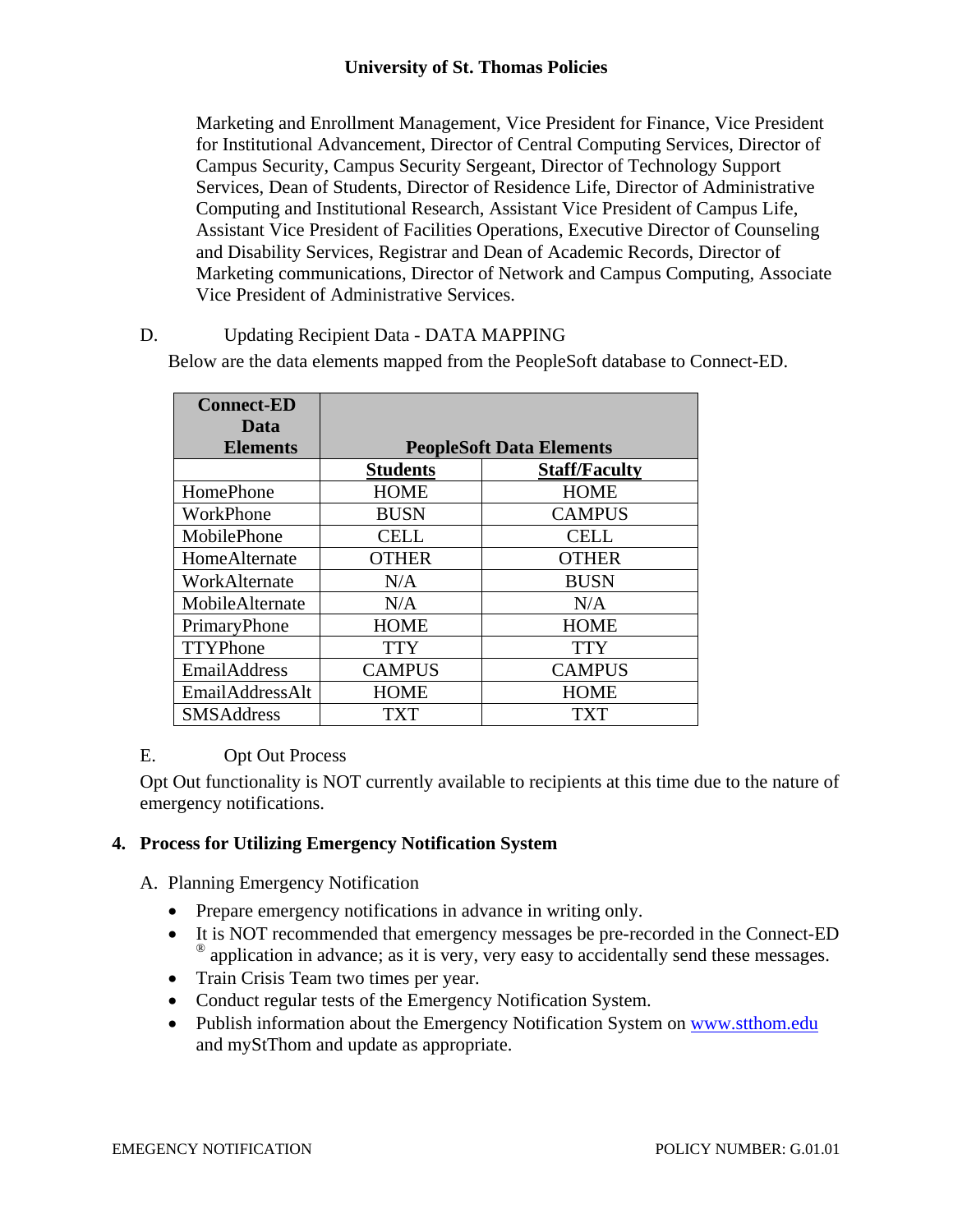# **University of St. Thomas Policies**

Marketing and Enrollment Management, Vice President for Finance, Vice President for Institutional Advancement, Director of Central Computing Services, Director of Campus Security, Campus Security Sergeant, Director of Technology Support Services, Dean of Students, Director of Residence Life, Director of Administrative Computing and Institutional Research, Assistant Vice President of Campus Life, Assistant Vice President of Facilities Operations, Executive Director of Counseling and Disability Services, Registrar and Dean of Academic Records, Director of Marketing communications, Director of Network and Campus Computing, Associate Vice President of Administrative Services.

## D. Updating Recipient Data - DATA MAPPING

Below are the data elements mapped from the PeopleSoft database to Connect-ED.

| <b>Connect-ED</b><br>Data |                                 |                      |
|---------------------------|---------------------------------|----------------------|
| <b>Elements</b>           | <b>PeopleSoft Data Elements</b> |                      |
|                           | <b>Students</b>                 | <b>Staff/Faculty</b> |
| HomePhone                 | <b>HOME</b>                     | <b>HOME</b>          |
| WorkPhone                 | <b>BUSN</b>                     | <b>CAMPUS</b>        |
| MobilePhone               | <b>CELL</b>                     | <b>CELL</b>          |
| HomeAlternate             | <b>OTHER</b>                    | <b>OTHER</b>         |
| WorkAlternate             | N/A                             | <b>BUSN</b>          |
| MobileAlternate           | N/A                             | N/A                  |
| PrimaryPhone              | <b>HOME</b>                     | <b>HOME</b>          |
| TTYPhone                  | <b>TTY</b>                      | <b>TTY</b>           |
| EmailAddress              | <b>CAMPUS</b>                   | <b>CAMPUS</b>        |
| EmailAddressAlt           | <b>HOME</b>                     | <b>HOME</b>          |
| <b>SMSAddress</b>         | TXT                             | TXT                  |

# E. Opt Out Process

 Opt Out functionality is NOT currently available to recipients at this time due to the nature of emergency notifications.

#### **4. Process for Utilizing Emergency Notification System**

- A. Planning Emergency Notification
	- Prepare emergency notifications in advance in writing only.
	- It is NOT recommended that emergency messages be pre-recorded in the Connect-ED <sup>®</sup> application in advance; as it is very, very easy to accidentally send these messages.
	- Train Crisis Team two times per year.
	- Conduct regular tests of the Emergency Notification System.
	- Publish information about the Emergency Notification System on www.stthom.edu and myStThom and update as appropriate.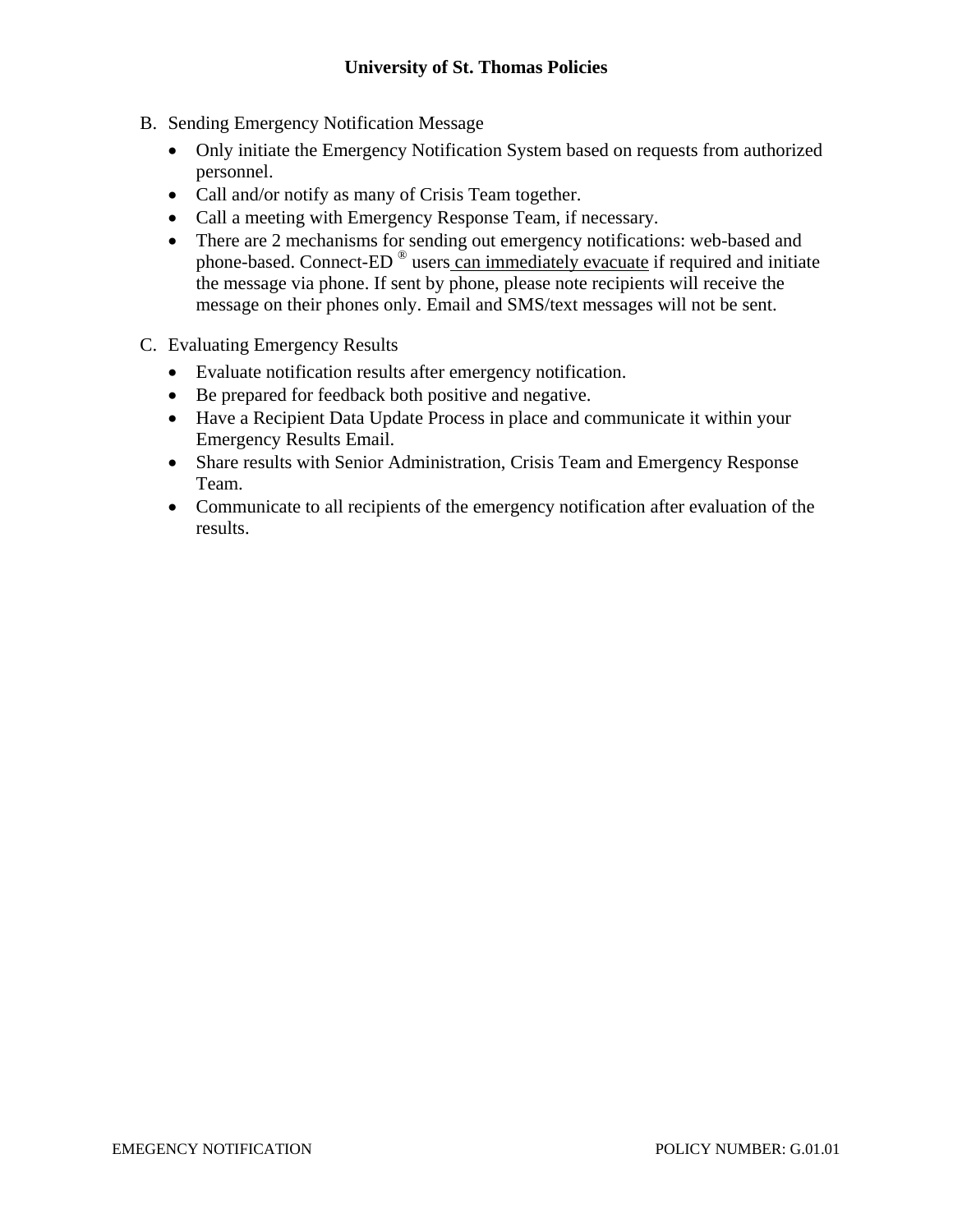- B. Sending Emergency Notification Message
	- Only initiate the Emergency Notification System based on requests from authorized personnel.
	- Call and/or notify as many of Crisis Team together.
	- Call a meeting with Emergency Response Team, if necessary.
	- There are 2 mechanisms for sending out emergency notifications: web-based and phone-based. Connect-ED ® users can immediately evacuate if required and initiate the message via phone. If sent by phone, please note recipients will receive the message on their phones only. Email and SMS/text messages will not be sent.
- C. Evaluating Emergency Results
	- Evaluate notification results after emergency notification.
	- Be prepared for feedback both positive and negative.
	- Have a Recipient Data Update Process in place and communicate it within your Emergency Results Email.
	- Share results with Senior Administration, Crisis Team and Emergency Response Team.
	- Communicate to all recipients of the emergency notification after evaluation of the results.